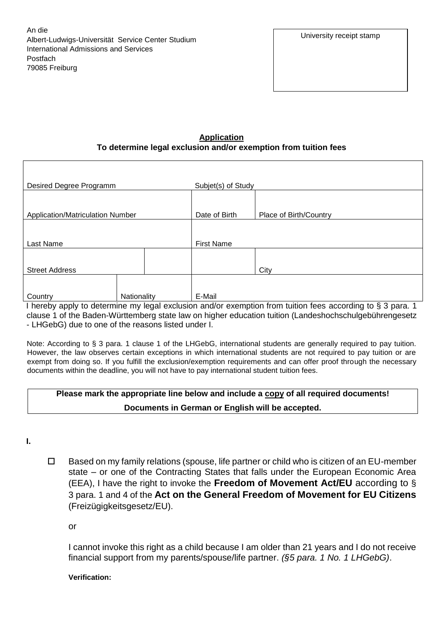An die Albert-Ludwigs-Universität Service Center Studium International Admissions and Services Postfach 79085 Freiburg

## **Application To determine legal exclusion and/or exemption from tuition fees**

| Desired Degree Programm          |             |                   | Subjet(s) of Study                                                                                       |  |
|----------------------------------|-------------|-------------------|----------------------------------------------------------------------------------------------------------|--|
|                                  |             |                   |                                                                                                          |  |
|                                  |             |                   |                                                                                                          |  |
| Application/Matriculation Number |             | Date of Birth     | Place of Birth/Country                                                                                   |  |
|                                  |             |                   |                                                                                                          |  |
|                                  |             |                   |                                                                                                          |  |
| Last Name                        |             | <b>First Name</b> |                                                                                                          |  |
|                                  |             |                   |                                                                                                          |  |
|                                  |             |                   |                                                                                                          |  |
| <b>Street Address</b>            |             |                   | City                                                                                                     |  |
|                                  |             |                   |                                                                                                          |  |
|                                  |             |                   |                                                                                                          |  |
| Country                          | Nationality | E-Mail            |                                                                                                          |  |
|                                  |             |                   | boroby apply to determine my legal evaluation appler examption from tuition fees according to 8.3 para 1 |  |

I hereby apply to determine my legal exclusion and/or exemption from tuition fees according to § 3 para. 1 clause 1 of the Baden-Württemberg state law on higher education tuition (Landeshochschulgebührengesetz - LHGebG) due to one of the reasons listed under I.

Note: According to § 3 para. 1 clause 1 of the LHGebG, international students are generally required to pay tuition. However, the law observes certain exceptions in which international students are not required to pay tuition or are exempt from doing so. If you fulfill the exclusion/exemption requirements and can offer proof through the necessary documents within the deadline, you will not have to pay international student tuition fees.

| Please mark the appropriate line below and include a copy of all required documents! |
|--------------------------------------------------------------------------------------|
| Documents in German or English will be accepted.                                     |

**I.**

 $\Box$  Based on my family relations (spouse, life partner or child who is citizen of an EU-member state – or one of the Contracting States that falls under the European Economic Area (EEA), I have the right to invoke the **Freedom of Movement Act/EU** according to § 3 para. 1 and 4 of the **Act on the General Freedom of Movement for EU Citizens** (Freizügigkeitsgesetz/EU).

or

I cannot invoke this right as a child because I am older than 21 years and I do not receive financial support from my parents/spouse/life partner. *(§5 para. 1 No. 1 LHGebG)*.

**Verification:**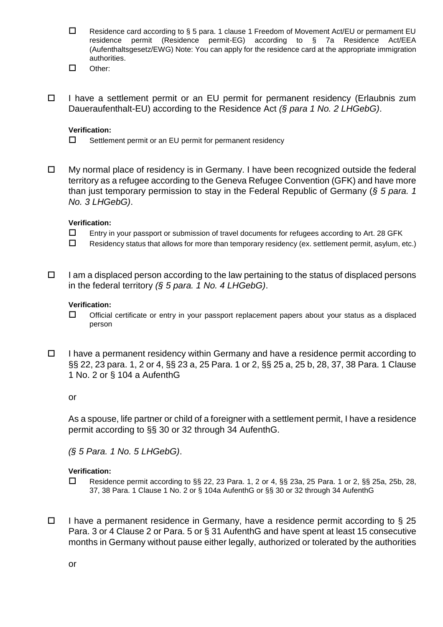- $\square$  Residence card according to § 5 para. 1 clause 1 Freedom of Movement Act/EU or permament EU residence permit (Residence permit-EG) according to § 7a Residence Act/EEA (Aufenthaltsgesetz/EWG) Note: You can apply for the residence card at the appropriate immigration authorities.
- Other:
- $\Box$  I have a settlement permit or an EU permit for permanent residency (Erlaubnis zum Daueraufenthalt-EU) according to the Residence Act *(§ para 1 No. 2 LHGebG)*.

#### **Verification:**

- $\square$  Settlement permit or an EU permit for permanent residency
- $\Box$  My normal place of residency is in Germany. I have been recognized outside the federal territory as a refugee according to the Geneva Refugee Convention (GFK) and have more than just temporary permission to stay in the Federal Republic of Germany (*§ 5 para. 1 No. 3 LHGebG)*.

#### **Verification:**

- $\square$  Entry in your passport or submission of travel documents for refugees according to Art. 28 GFK
- $\Box$  Residency status that allows for more than temporary residency (ex. settlement permit, asylum, etc.)
- $\Box$  I am a displaced person according to the law pertaining to the status of displaced persons in the federal territory *(§ 5 para. 1 No. 4 LHGebG)*.

#### **Verification:**

- $\Box$  Official certificate or entry in your passport replacement papers about your status as a displaced person
- $\Box$  I have a permanent residency within Germany and have a residence permit according to §§ 22, 23 para. 1, 2 or 4, §§ 23 a, 25 Para. 1 or 2, §§ 25 a, 25 b, 28, 37, 38 Para. 1 Clause 1 No. 2 or § 104 a AufenthG

#### or

As a spouse, life partner or child of a foreigner with a settlement permit, I have a residence permit according to §§ 30 or 32 through 34 AufenthG.

*(§ 5 Para. 1 No. 5 LHGebG)*.

#### **Verification:**

- $\Box$  Residence permit according to §§ 22, 23 Para. 1, 2 or 4, §§ 23a, 25 Para. 1 or 2, §§ 25a, 25b, 28, 37, 38 Para. 1 Clause 1 No. 2 or § 104a AufenthG or §§ 30 or 32 through 34 AufenthG
- $\Box$  I have a permanent residence in Germany, have a residence permit according to § 25 Para. 3 or 4 Clause 2 or Para. 5 or § 31 AufenthG and have spent at least 15 consecutive months in Germany without pause either legally, authorized or tolerated by the authorities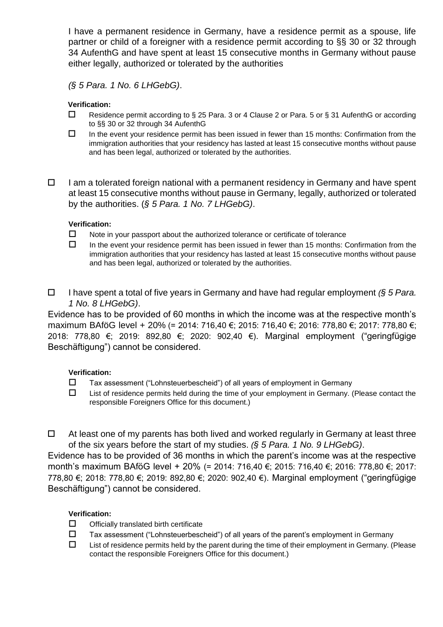I have a permanent residence in Germany, have a residence permit as a spouse, life partner or child of a foreigner with a residence permit according to §§ 30 or 32 through 34 AufenthG and have spent at least 15 consecutive months in Germany without pause either legally, authorized or tolerated by the authorities

*(§ 5 Para. 1 No. 6 LHGebG)*.

### **Verification:**

- $\Box$  Residence permit according to § 25 Para. 3 or 4 Clause 2 or Para. 5 or § 31 AufenthG or according to §§ 30 or 32 through 34 AufenthG
- $\Box$  In the event your residence permit has been issued in fewer than 15 months: Confirmation from the immigration authorities that your residency has lasted at least 15 consecutive months without pause and has been legal, authorized or tolerated by the authorities.
- $\Box$  I am a tolerated foreign national with a permanent residency in Germany and have spent at least 15 consecutive months without pause in Germany, legally, authorized or tolerated by the authorities. (*§ 5 Para. 1 No. 7 LHGebG)*.

## **Verification:**

- $\Box$  Note in your passport about the authorized tolerance or certificate of tolerance
- $\Box$  In the event your residence permit has been issued in fewer than 15 months: Confirmation from the immigration authorities that your residency has lasted at least 15 consecutive months without pause and has been legal, authorized or tolerated by the authorities.
- I have spent a total of five years in Germany and have had regular employment *(§ 5 Para. 1 No. 8 LHGebG)*.

Evidence has to be provided of 60 months in which the income was at the respective month's maximum BAföG level + 20% (= 2014: 716,40 €; 2015: 716,40 €; 2016: 778,80 €; 2017: 778,80 €; 2018: 778,80 €; 2019: 892,80 €; 2020: 902,40 €). Marginal employment ("geringfügige Beschäftigung") cannot be considered.

# **Verification:**

- Tax assessment ("Lohnsteuerbescheid") of all years of employment in Germany
- $\Box$  List of residence permits held during the time of your employment in Germany. (Please contact the responsible Foreigners Office for this document.)

 $\Box$  At least one of my parents has both lived and worked regularly in Germany at least three of the six years before the start of my studies. *(§ 5 Para. 1 No. 9 LHGebG)*.

Evidence has to be provided of 36 months in which the parent's income was at the respective month's maximum BAföG level + 20% (= 2014: 716,40 €; 2015: 716,40 €; 2016: 778,80 €; 2017: 778,80 €; 2018: 778,80 €; 2019: 892,80 €; 2020: 902,40 €). Marginal employment ("geringfügige Beschäftigung") cannot be considered.

# **Verification:**

- $\Box$  Officially translated birth certificate
- $\Box$  Tax assessment ("Lohnsteuerbescheid") of all years of the parent's employment in Germany
- $\Box$  List of residence permits held by the parent during the time of their employment in Germany. (Please contact the responsible Foreigners Office for this document.)